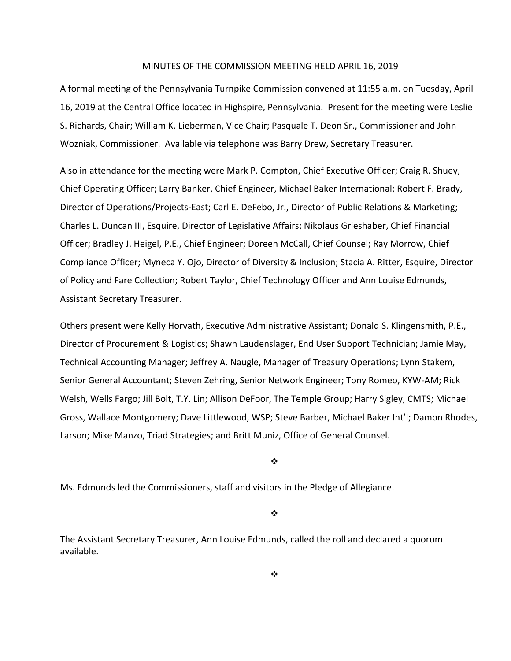#### MINUTES OF THE COMMISSION MEETING HELD APRIL 16, 2019

A formal meeting of the Pennsylvania Turnpike Commission convened at 11:55 a.m. on Tuesday, April 16, 2019 at the Central Office located in Highspire, Pennsylvania. Present for the meeting were Leslie S. Richards, Chair; William K. Lieberman, Vice Chair; Pasquale T. Deon Sr., Commissioner and John Wozniak, Commissioner. Available via telephone was Barry Drew, Secretary Treasurer.

Also in attendance for the meeting were Mark P. Compton, Chief Executive Officer; Craig R. Shuey, Chief Operating Officer; Larry Banker, Chief Engineer, Michael Baker International; Robert F. Brady, Director of Operations/Projects‐East; Carl E. DeFebo, Jr., Director of Public Relations & Marketing; Charles L. Duncan III, Esquire, Director of Legislative Affairs; Nikolaus Grieshaber, Chief Financial Officer; Bradley J. Heigel, P.E., Chief Engineer; Doreen McCall, Chief Counsel; Ray Morrow, Chief Compliance Officer; Myneca Y. Ojo, Director of Diversity & Inclusion; Stacia A. Ritter, Esquire, Director of Policy and Fare Collection; Robert Taylor, Chief Technology Officer and Ann Louise Edmunds, Assistant Secretary Treasurer.

Others present were Kelly Horvath, Executive Administrative Assistant; Donald S. Klingensmith, P.E., Director of Procurement & Logistics; Shawn Laudenslager, End User Support Technician; Jamie May, Technical Accounting Manager; Jeffrey A. Naugle, Manager of Treasury Operations; Lynn Stakem, Senior General Accountant; Steven Zehring, Senior Network Engineer; Tony Romeo, KYW‐AM; Rick Welsh, Wells Fargo; Jill Bolt, T.Y. Lin; Allison DeFoor, The Temple Group; Harry Sigley, CMTS; Michael Gross, Wallace Montgomery; Dave Littlewood, WSP; Steve Barber, Michael Baker Int'l; Damon Rhodes, Larson; Mike Manzo, Triad Strategies; and Britt Muniz, Office of General Counsel.

❖

Ms. Edmunds led the Commissioners, staff and visitors in the Pledge of Allegiance.

❖

The Assistant Secretary Treasurer, Ann Louise Edmunds, called the roll and declared a quorum available.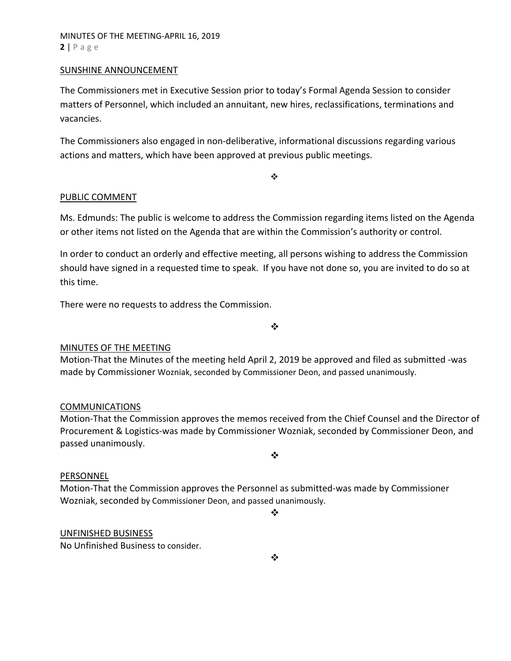### SUNSHINE ANNOUNCEMENT

The Commissioners met in Executive Session prior to today's Formal Agenda Session to consider matters of Personnel, which included an annuitant, new hires, reclassifications, terminations and vacancies.

The Commissioners also engaged in non‐deliberative, informational discussions regarding various actions and matters, which have been approved at previous public meetings.

 $\cdot$ 

# PUBLIC COMMENT

Ms. Edmunds: The public is welcome to address the Commission regarding items listed on the Agenda or other items not listed on the Agenda that are within the Commission's authority or control.

In order to conduct an orderly and effective meeting, all persons wishing to address the Commission should have signed in a requested time to speak. If you have not done so, you are invited to do so at this time.

There were no requests to address the Commission.

❖

# MINUTES OF THE MEETING

Motion‐That the Minutes of the meeting held April 2, 2019 be approved and filed as submitted ‐was made by Commissioner Wozniak, seconded by Commissioner Deon, and passed unanimously.

### COMMUNICATIONS

Motion‐That the Commission approves the memos received from the Chief Counsel and the Director of Procurement & Logistics‐was made by Commissioner Wozniak, seconded by Commissioner Deon, and passed unanimously.

 $\bullet^{\bullet}_{\bullet} \bullet$ 

### PERSONNEL

Motion‐That the Commission approves the Personnel as submitted‐was made by Commissioner Wozniak, seconded by Commissioner Deon, and passed unanimously.

 $\bullet^{\bullet}_{\bullet} \bullet$ 

### UNFINISHED BUSINESS

No Unfinished Business to consider.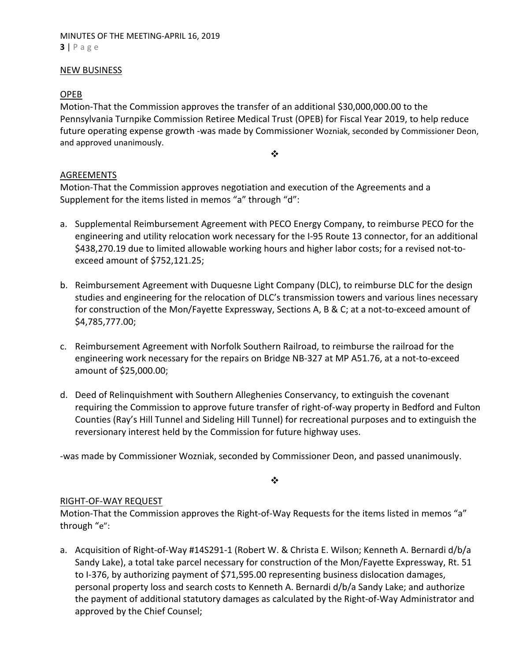### NEW BUSINESS

# OPEB

Motion‐That the Commission approves the transfer of an additional \$30,000,000.00 to the Pennsylvania Turnpike Commission Retiree Medical Trust (OPEB) for Fiscal Year 2019, to help reduce future operating expense growth ‐was made by Commissioner Wozniak, seconded by Commissioner Deon, and approved unanimously.

❖

# AGREEMENTS

Motion‐That the Commission approves negotiation and execution of the Agreements and a Supplement for the items listed in memos "a" through "d":

- a. Supplemental Reimbursement Agreement with PECO Energy Company, to reimburse PECO for the engineering and utility relocation work necessary for the I‐95 Route 13 connector, for an additional \$438,270.19 due to limited allowable working hours and higher labor costs; for a revised not-toexceed amount of \$752,121.25;
- b. Reimbursement Agreement with Duquesne Light Company (DLC), to reimburse DLC for the design studies and engineering for the relocation of DLC's transmission towers and various lines necessary for construction of the Mon/Fayette Expressway, Sections A, B & C; at a not‐to‐exceed amount of \$4,785,777.00;
- c. Reimbursement Agreement with Norfolk Southern Railroad, to reimburse the railroad for the engineering work necessary for the repairs on Bridge NB-327 at MP A51.76, at a not-to-exceed amount of \$25,000.00;
- d. Deed of Relinquishment with Southern Alleghenies Conservancy, to extinguish the covenant requiring the Commission to approve future transfer of right‐of‐way property in Bedford and Fulton Counties (Ray's Hill Tunnel and Sideling Hill Tunnel) for recreational purposes and to extinguish the reversionary interest held by the Commission for future highway uses.

‐was made by Commissioner Wozniak, seconded by Commissioner Deon, and passed unanimously.

❖

# RIGHT‐OF‐WAY REQUEST

Motion-That the Commission approves the Right-of-Way Requests for the items listed in memos "a" through "e":

a. Acquisition of Right-of-Way #14S291-1 (Robert W. & Christa E. Wilson; Kenneth A. Bernardi d/b/a Sandy Lake), a total take parcel necessary for construction of the Mon/Fayette Expressway, Rt. 51 to I‐376, by authorizing payment of \$71,595.00 representing business dislocation damages, personal property loss and search costs to Kenneth A. Bernardi d/b/a Sandy Lake; and authorize the payment of additional statutory damages as calculated by the Right‐of‐Way Administrator and approved by the Chief Counsel;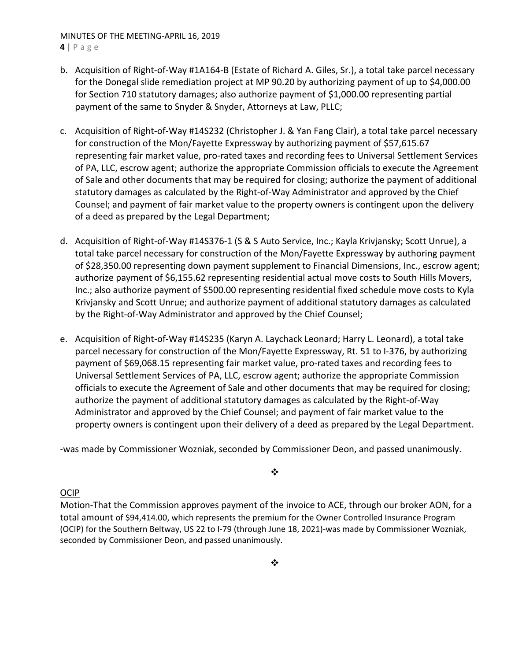### MINUTES OF THE MEETING‐APRIL 16, 2019 **4** | Page

- b. Acquisition of Right‐of‐Way #1A164‐B (Estate of Richard A. Giles, Sr.), a total take parcel necessary for the Donegal slide remediation project at MP 90.20 by authorizing payment of up to \$4,000.00 for Section 710 statutory damages; also authorize payment of \$1,000.00 representing partial payment of the same to Snyder & Snyder, Attorneys at Law, PLLC;
- c. Acquisition of Right‐of‐Way #14S232 (Christopher J. & Yan Fang Clair), a total take parcel necessary for construction of the Mon/Fayette Expressway by authorizing payment of \$57,615.67 representing fair market value, pro‐rated taxes and recording fees to Universal Settlement Services of PA, LLC, escrow agent; authorize the appropriate Commission officials to execute the Agreement of Sale and other documents that may be required for closing; authorize the payment of additional statutory damages as calculated by the Right‐of‐Way Administrator and approved by the Chief Counsel; and payment of fair market value to the property owners is contingent upon the delivery of a deed as prepared by the Legal Department;
- d. Acquisition of Right‐of‐Way #14S376‐1 (S & S Auto Service, Inc.; Kayla Krivjansky; Scott Unrue), a total take parcel necessary for construction of the Mon/Fayette Expressway by authoring payment of \$28,350.00 representing down payment supplement to Financial Dimensions, Inc., escrow agent; authorize payment of \$6,155.62 representing residential actual move costs to South Hills Movers, Inc.; also authorize payment of \$500.00 representing residential fixed schedule move costs to Kyla Krivjansky and Scott Unrue; and authorize payment of additional statutory damages as calculated by the Right‐of‐Way Administrator and approved by the Chief Counsel;
- e. Acquisition of Right‐of‐Way #14S235 (Karyn A. Laychack Leonard; Harry L. Leonard), a total take parcel necessary for construction of the Mon/Fayette Expressway, Rt. 51 to I‐376, by authorizing payment of \$69,068.15 representing fair market value, pro‐rated taxes and recording fees to Universal Settlement Services of PA, LLC, escrow agent; authorize the appropriate Commission officials to execute the Agreement of Sale and other documents that may be required for closing; authorize the payment of additional statutory damages as calculated by the Right‐of‐Way Administrator and approved by the Chief Counsel; and payment of fair market value to the property owners is contingent upon their delivery of a deed as prepared by the Legal Department.

‐was made by Commissioner Wozniak, seconded by Commissioner Deon, and passed unanimously.

 $\bullet \bullet$ 

# OCIP

Motion‐That the Commission approves payment of the invoice to ACE, through our broker AON, for a total amount of \$94,414.00, which represents the premium for the Owner Controlled Insurance Program (OCIP) for the Southern Beltway, US 22 to I‐79 (through June 18, 2021)‐was made by Commissioner Wozniak, seconded by Commissioner Deon, and passed unanimously.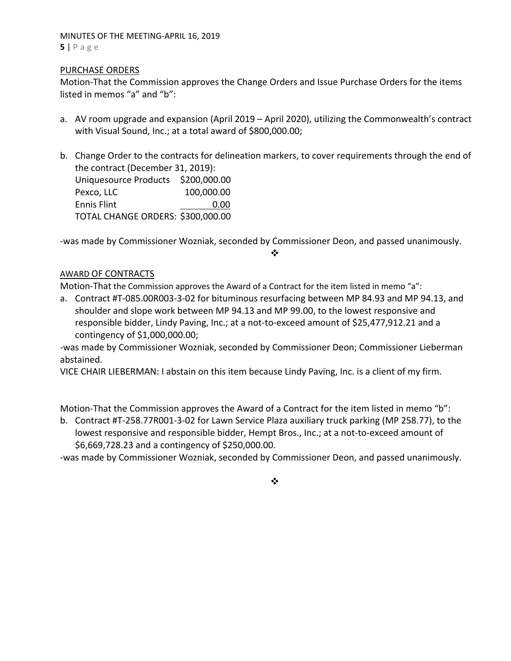### MINUTES OF THE MEETING‐APRIL 16, 2019 **5** | Page

# PURCHASE ORDERS

Motion‐That the Commission approves the Change Orders and Issue Purchase Orders for the items listed in memos "a" and "b":

- a. AV room upgrade and expansion (April 2019 April 2020), utilizing the Commonwealth's contract with Visual Sound, Inc.; at a total award of \$800,000.00;
- b. Change Order to the contracts for delineation markers, to cover requirements through the end of the contract (December 31, 2019): Uniquesource Products \$200,000.00 Pexco, LLC 100,000.00 Ennis Flint 0.00 TOTAL CHANGE ORDERS: \$300,000.00

‐was made by Commissioner Wozniak, seconded by Commissioner Deon, and passed unanimously.

❖

### AWARD OF CONTRACTS

Motion-That the Commission approves the Award of a Contract for the item listed in memo "a":

a. Contract #T‐085.00R003‐3‐02 for bituminous resurfacing between MP 84.93 and MP 94.13, and shoulder and slope work between MP 94.13 and MP 99.00, to the lowest responsive and responsible bidder, Lindy Paving, Inc.; at a not‐to‐exceed amount of \$25,477,912.21 and a contingency of \$1,000,000.00;

‐was made by Commissioner Wozniak, seconded by Commissioner Deon; Commissioner Lieberman abstained.

VICE CHAIR LIEBERMAN: I abstain on this item because Lindy Paving, Inc. is a client of my firm.

Motion-That the Commission approves the Award of a Contract for the item listed in memo "b":

b. Contract #T‐258.77R001‐3‐02 for Lawn Service Plaza auxiliary truck parking (MP 258.77), to the lowest responsive and responsible bidder, Hempt Bros., Inc.; at a not‐to‐exceed amount of \$6,669,728.23 and a contingency of \$250,000.00.

‐was made by Commissioner Wozniak, seconded by Commissioner Deon, and passed unanimously.

 $\bullet^{\bullet}_{\bullet} \bullet$